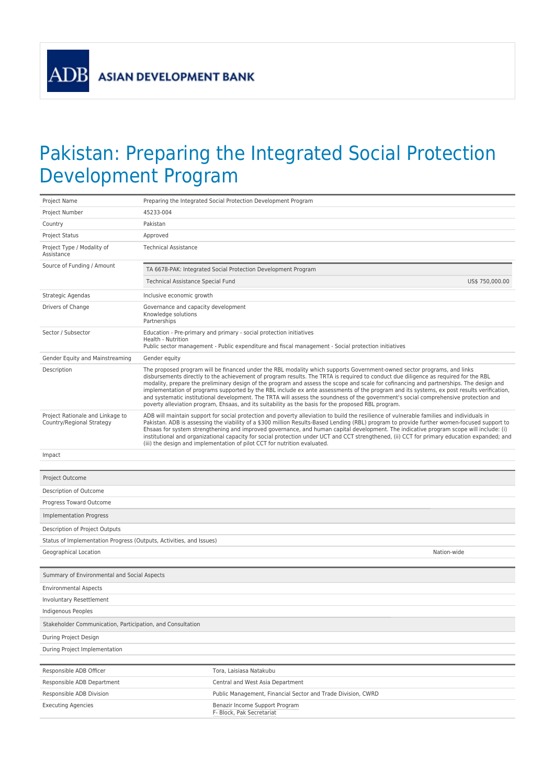**ADB** 

## Pakistan: Preparing the Integrated Social Protection Development Program

| Project Name                                                        | Preparing the Integrated Social Protection Development Program                                                                                                                                                                                                                                                                                                                                                                                                                                                                                                                                                                                                                                                                                                                                        |  |  |  |
|---------------------------------------------------------------------|-------------------------------------------------------------------------------------------------------------------------------------------------------------------------------------------------------------------------------------------------------------------------------------------------------------------------------------------------------------------------------------------------------------------------------------------------------------------------------------------------------------------------------------------------------------------------------------------------------------------------------------------------------------------------------------------------------------------------------------------------------------------------------------------------------|--|--|--|
| Project Number                                                      | 45233-004                                                                                                                                                                                                                                                                                                                                                                                                                                                                                                                                                                                                                                                                                                                                                                                             |  |  |  |
| Country                                                             | Pakistan                                                                                                                                                                                                                                                                                                                                                                                                                                                                                                                                                                                                                                                                                                                                                                                              |  |  |  |
| <b>Project Status</b>                                               | Approved                                                                                                                                                                                                                                                                                                                                                                                                                                                                                                                                                                                                                                                                                                                                                                                              |  |  |  |
| Project Type / Modality of<br>Assistance                            | <b>Technical Assistance</b>                                                                                                                                                                                                                                                                                                                                                                                                                                                                                                                                                                                                                                                                                                                                                                           |  |  |  |
| Source of Funding / Amount                                          | TA 6678-PAK: Integrated Social Protection Development Program                                                                                                                                                                                                                                                                                                                                                                                                                                                                                                                                                                                                                                                                                                                                         |  |  |  |
|                                                                     | Technical Assistance Special Fund<br>US\$ 750,000.00                                                                                                                                                                                                                                                                                                                                                                                                                                                                                                                                                                                                                                                                                                                                                  |  |  |  |
| Strategic Agendas                                                   | Inclusive economic growth                                                                                                                                                                                                                                                                                                                                                                                                                                                                                                                                                                                                                                                                                                                                                                             |  |  |  |
| Drivers of Change                                                   | Governance and capacity development<br>Knowledge solutions<br>Partnerships                                                                                                                                                                                                                                                                                                                                                                                                                                                                                                                                                                                                                                                                                                                            |  |  |  |
| Sector / Subsector                                                  | Education - Pre-primary and primary - social protection initiatives<br>Health - Nutrition<br>Public sector management - Public expenditure and fiscal management - Social protection initiatives                                                                                                                                                                                                                                                                                                                                                                                                                                                                                                                                                                                                      |  |  |  |
| Gender Equity and Mainstreaming                                     | Gender equity                                                                                                                                                                                                                                                                                                                                                                                                                                                                                                                                                                                                                                                                                                                                                                                         |  |  |  |
| Description                                                         | The proposed program will be financed under the RBL modality which supports Government-owned sector programs, and links<br>disbursements directly to the achievement of program results. The TRTA is required to conduct due diligence as required for the RBL<br>modality, prepare the preliminary design of the program and assess the scope and scale for cofinancing and partnerships. The design and<br>implementation of programs supported by the RBL include ex ante assessments of the program and its systems, ex post results verification,<br>and systematic institutional development. The TRTA will assess the soundness of the government's social comprehensive protection and<br>poverty alleviation program, Ehsaas, and its suitability as the basis for the proposed RBL program. |  |  |  |
| Project Rationale and Linkage to<br>Country/Regional Strategy       | ADB will maintain support for social protection and poverty alleviation to build the resilience of vulnerable families and individuals in<br>Pakistan. ADB is assessing the viability of a \$300 million Results-Based Lending (RBL) program to provide further women-focused support to<br>Ehsaas for system strengthening and improved governance, and human capital development. The indicative program scope will include: (i)<br>institutional and organizational capacity for social protection under UCT and CCT strengthened, (ii) CCT for primary education expanded; and<br>(iii) the design and implementation of pilot CCT for nutrition evaluated.                                                                                                                                       |  |  |  |
| Impact                                                              |                                                                                                                                                                                                                                                                                                                                                                                                                                                                                                                                                                                                                                                                                                                                                                                                       |  |  |  |
|                                                                     |                                                                                                                                                                                                                                                                                                                                                                                                                                                                                                                                                                                                                                                                                                                                                                                                       |  |  |  |
| Project Outcome                                                     |                                                                                                                                                                                                                                                                                                                                                                                                                                                                                                                                                                                                                                                                                                                                                                                                       |  |  |  |
| Description of Outcome                                              |                                                                                                                                                                                                                                                                                                                                                                                                                                                                                                                                                                                                                                                                                                                                                                                                       |  |  |  |
| Progress Toward Outcome                                             |                                                                                                                                                                                                                                                                                                                                                                                                                                                                                                                                                                                                                                                                                                                                                                                                       |  |  |  |
| <b>Implementation Progress</b>                                      |                                                                                                                                                                                                                                                                                                                                                                                                                                                                                                                                                                                                                                                                                                                                                                                                       |  |  |  |
| Description of Project Outputs                                      |                                                                                                                                                                                                                                                                                                                                                                                                                                                                                                                                                                                                                                                                                                                                                                                                       |  |  |  |
| Status of Implementation Progress (Outputs, Activities, and Issues) |                                                                                                                                                                                                                                                                                                                                                                                                                                                                                                                                                                                                                                                                                                                                                                                                       |  |  |  |
| Geographical Location                                               | Nation-wide                                                                                                                                                                                                                                                                                                                                                                                                                                                                                                                                                                                                                                                                                                                                                                                           |  |  |  |
|                                                                     |                                                                                                                                                                                                                                                                                                                                                                                                                                                                                                                                                                                                                                                                                                                                                                                                       |  |  |  |
| Summary of Environmental and Social Aspects                         |                                                                                                                                                                                                                                                                                                                                                                                                                                                                                                                                                                                                                                                                                                                                                                                                       |  |  |  |
| <b>Environmental Aspects</b>                                        |                                                                                                                                                                                                                                                                                                                                                                                                                                                                                                                                                                                                                                                                                                                                                                                                       |  |  |  |
| Involuntary Resettlement                                            |                                                                                                                                                                                                                                                                                                                                                                                                                                                                                                                                                                                                                                                                                                                                                                                                       |  |  |  |
| Indigenous Peoples                                                  |                                                                                                                                                                                                                                                                                                                                                                                                                                                                                                                                                                                                                                                                                                                                                                                                       |  |  |  |
| Stakeholder Communication, Participation, and Consultation          |                                                                                                                                                                                                                                                                                                                                                                                                                                                                                                                                                                                                                                                                                                                                                                                                       |  |  |  |
| During Project Design                                               |                                                                                                                                                                                                                                                                                                                                                                                                                                                                                                                                                                                                                                                                                                                                                                                                       |  |  |  |
| During Project Implementation                                       |                                                                                                                                                                                                                                                                                                                                                                                                                                                                                                                                                                                                                                                                                                                                                                                                       |  |  |  |
|                                                                     |                                                                                                                                                                                                                                                                                                                                                                                                                                                                                                                                                                                                                                                                                                                                                                                                       |  |  |  |
| Responsible ADB Officer                                             | Tora, Laisiasa Natakubu                                                                                                                                                                                                                                                                                                                                                                                                                                                                                                                                                                                                                                                                                                                                                                               |  |  |  |
| Responsible ADB Department                                          | Central and West Asia Department                                                                                                                                                                                                                                                                                                                                                                                                                                                                                                                                                                                                                                                                                                                                                                      |  |  |  |
| Responsible ADB Division                                            | Public Management, Financial Sector and Trade Division, CWRD                                                                                                                                                                                                                                                                                                                                                                                                                                                                                                                                                                                                                                                                                                                                          |  |  |  |
| <b>Executing Agencies</b>                                           | Benazir Income Support Program<br>F- Block, Pak Secretariat                                                                                                                                                                                                                                                                                                                                                                                                                                                                                                                                                                                                                                                                                                                                           |  |  |  |